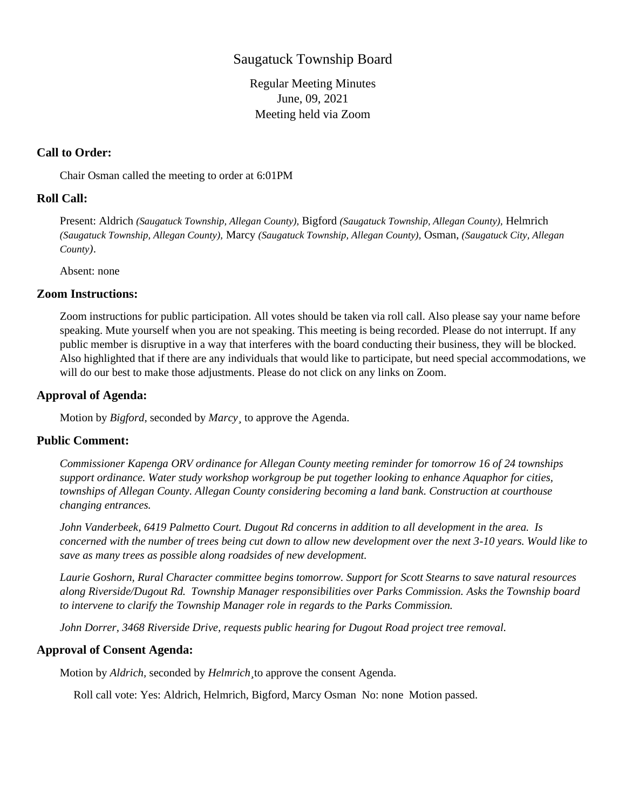# Saugatuck Township Board

Regular Meeting Minutes June, 09, 2021 Meeting held via Zoom

## **Call to Order:**

Chair Osman called the meeting to order at 6:01PM

## **Roll Call:**

Present: Aldrich *(Saugatuck Township, Allegan County),* Bigford *(Saugatuck Township, Allegan County),* Helmrich *(Saugatuck Township, Allegan County),* Marcy *(Saugatuck Township, Allegan County),* Osman, *(Saugatuck City, Allegan County)*.

Absent: none

## **Zoom Instructions:**

Zoom instructions for public participation. All votes should be taken via roll call. Also please say your name before speaking. Mute yourself when you are not speaking. This meeting is being recorded. Please do not interrupt. If any public member is disruptive in a way that interferes with the board conducting their business, they will be blocked. Also highlighted that if there are any individuals that would like to participate, but need special accommodations, we will do our best to make those adjustments. Please do not click on any links on Zoom.

## **Approval of Agenda:**

Motion by *Bigford,* seconded by *Marcy¸* to approve the Agenda.

# **Public Comment:**

*Commissioner Kapenga ORV ordinance for Allegan County meeting reminder for tomorrow 16 of 24 townships support ordinance. Water study workshop workgroup be put together looking to enhance Aquaphor for cities, townships of Allegan County. Allegan County considering becoming a land bank. Construction at courthouse changing entrances.*

*John Vanderbeek, 6419 Palmetto Court. Dugout Rd concerns in addition to all development in the area. Is concerned with the number of trees being cut down to allow new development over the next 3-10 years. Would like to save as many trees as possible along roadsides of new development.*

*Laurie Goshorn, Rural Character committee begins tomorrow. Support for Scott Stearns to save natural resources along Riverside/Dugout Rd. Township Manager responsibilities over Parks Commission. Asks the Township board to intervene to clarify the Township Manager role in regards to the Parks Commission.*

*John Dorrer, 3468 Riverside Drive, requests public hearing for Dugout Road project tree removal.*

## **Approval of Consent Agenda:**

Motion by *Aldrich,* seconded by *Helmrich¸*to approve the consent Agenda.

Roll call vote: Yes: Aldrich, Helmrich, Bigford, Marcy Osman No: none Motion passed.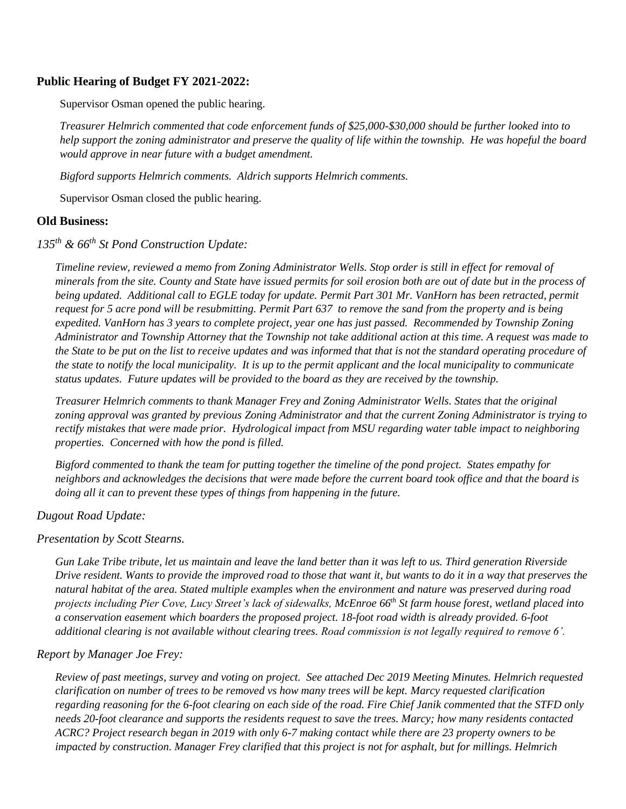## **Public Hearing of Budget FY 2021-2022:**

Supervisor Osman opened the public hearing.

*Treasurer Helmrich commented that code enforcement funds of \$25,000-\$30,000 should be further looked into to help support the zoning administrator and preserve the quality of life within the township. He was hopeful the board would approve in near future with a budget amendment.*

*Bigford supports Helmrich comments. Aldrich supports Helmrich comments.*

Supervisor Osman closed the public hearing.

### **Old Business:**

*135th & 66th St Pond Construction Update:*

*Timeline review, reviewed a memo from Zoning Administrator Wells. Stop order is still in effect for removal of minerals from the site. County and State have issued permits for soil erosion both are out of date but in the process of being updated. Additional call to EGLE today for update. Permit Part 301 Mr. VanHorn has been retracted, permit request for 5 acre pond will be resubmitting. Permit Part 637 to remove the sand from the property and is being expedited. VanHorn has 3 years to complete project, year one has just passed. Recommended by Township Zoning Administrator and Township Attorney that the Township not take additional action at this time. A request was made to the State to be put on the list to receive updates and was informed that that is not the standard operating procedure of the state to notify the local municipality. It is up to the permit applicant and the local municipality to communicate status updates. Future updates will be provided to the board as they are received by the township.*

*Treasurer Helmrich comments to thank Manager Frey and Zoning Administrator Wells. States that the original zoning approval was granted by previous Zoning Administrator and that the current Zoning Administrator is trying to rectify mistakes that were made prior. Hydrological impact from MSU regarding water table impact to neighboring properties. Concerned with how the pond is filled.*

*Bigford commented to thank the team for putting together the timeline of the pond project. States empathy for neighbors and acknowledges the decisions that were made before the current board took office and that the board is doing all it can to prevent these types of things from happening in the future.*

### *Dugout Road Update:*

### *Presentation by Scott Stearns.*

*Gun Lake Tribe tribute, let us maintain and leave the land better than it was left to us. Third generation Riverside Drive resident. Wants to provide the improved road to those that want it, but wants to do it in a way that preserves the natural habitat of the area. Stated multiple examples when the environment and nature was preserved during road projects including Pier Cove, Lucy Street's lack of sidewalks, McEnroe 66th St farm house forest, wetland placed into a conservation easement which boarders the proposed project. 18-foot road width is already provided. 6-foot additional clearing is not available without clearing trees. Road commission is not legally required to remove 6'.*

### *Report by Manager Joe Frey:*

*Review of past meetings, survey and voting on project. See attached Dec 2019 Meeting Minutes. Helmrich requested clarification on number of trees to be removed vs how many trees will be kept. Marcy requested clarification regarding reasoning for the 6-foot clearing on each side of the road. Fire Chief Janik commented that the STFD only needs 20-foot clearance and supports the residents request to save the trees. Marcy; how many residents contacted ACRC? Project research began in 2019 with only 6-7 making contact while there are 23 property owners to be impacted by construction. Manager Frey clarified that this project is not for asphalt, but for millings. Helmrich*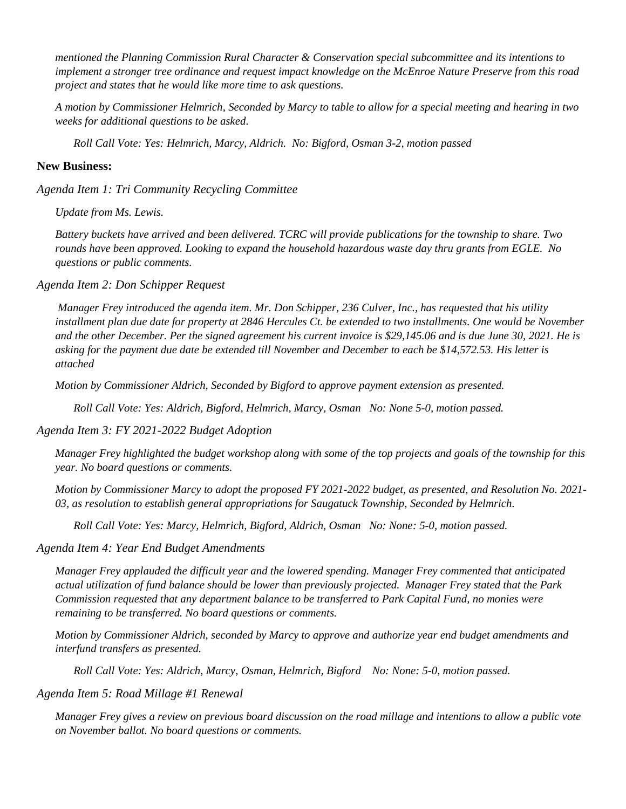*mentioned the Planning Commission Rural Character & Conservation special subcommittee and its intentions to implement a stronger tree ordinance and request impact knowledge on the McEnroe Nature Preserve from this road project and states that he would like more time to ask questions.*

*A motion by Commissioner Helmrich, Seconded by Marcy to table to allow for a special meeting and hearing in two weeks for additional questions to be asked.*

*Roll Call Vote: Yes: Helmrich, Marcy, Aldrich. No: Bigford, Osman 3-2, motion passed*

#### **New Business:**

*Agenda Item 1: Tri Community Recycling Committee*

*Update from Ms. Lewis.*

*Battery buckets have arrived and been delivered. TCRC will provide publications for the township to share. Two rounds have been approved. Looking to expand the household hazardous waste day thru grants from EGLE. No questions or public comments.*

*Agenda Item 2: Don Schipper Request*

*Manager Frey introduced the agenda item. Mr. Don Schipper, 236 Culver, Inc., has requested that his utility installment plan due date for property at 2846 Hercules Ct. be extended to two installments. One would be November and the other December. Per the signed agreement his current invoice is \$29,145.06 and is due June 30, 2021. He is asking for the payment due date be extended till November and December to each be \$14,572.53. His letter is attached*

*Motion by Commissioner Aldrich, Seconded by Bigford to approve payment extension as presented.*

*Roll Call Vote: Yes: Aldrich, Bigford, Helmrich, Marcy, Osman No: None 5-0, motion passed.*

#### *Agenda Item 3: FY 2021-2022 Budget Adoption*

*Manager Frey highlighted the budget workshop along with some of the top projects and goals of the township for this year. No board questions or comments.*

*Motion by Commissioner Marcy to adopt the proposed FY 2021-2022 budget, as presented, and Resolution No. 2021- 03, as resolution to establish general appropriations for Saugatuck Township, Seconded by Helmrich.*

*Roll Call Vote: Yes: Marcy, Helmrich, Bigford, Aldrich, Osman No: None: 5-0, motion passed.*

#### *Agenda Item 4: Year End Budget Amendments*

*Manager Frey applauded the difficult year and the lowered spending. Manager Frey commented that anticipated actual utilization of fund balance should be lower than previously projected. Manager Frey stated that the Park Commission requested that any department balance to be transferred to Park Capital Fund, no monies were remaining to be transferred. No board questions or comments.*

*Motion by Commissioner Aldrich, seconded by Marcy to approve and authorize year end budget amendments and interfund transfers as presented.*

*Roll Call Vote: Yes: Aldrich, Marcy, Osman, Helmrich, Bigford No: None: 5-0, motion passed.*

#### *Agenda Item 5: Road Millage #1 Renewal*

*Manager Frey gives a review on previous board discussion on the road millage and intentions to allow a public vote on November ballot. No board questions or comments.*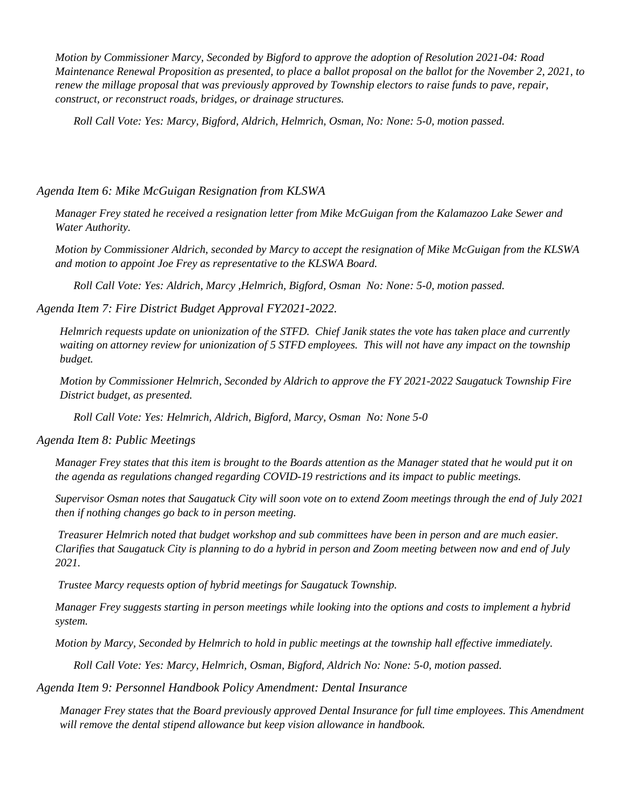*Motion by Commissioner Marcy, Seconded by Bigford to approve the adoption of Resolution 2021-04: Road Maintenance Renewal Proposition as presented, to place a ballot proposal on the ballot for the November 2, 2021, to renew the millage proposal that was previously approved by Township electors to raise funds to pave, repair, construct, or reconstruct roads, bridges, or drainage structures.*

*Roll Call Vote: Yes: Marcy, Bigford, Aldrich, Helmrich, Osman, No: None: 5-0, motion passed.*

### *Agenda Item 6: Mike McGuigan Resignation from KLSWA*

*Manager Frey stated he received a resignation letter from Mike McGuigan from the Kalamazoo Lake Sewer and Water Authority.*

*Motion by Commissioner Aldrich, seconded by Marcy to accept the resignation of Mike McGuigan from the KLSWA and motion to appoint Joe Frey as representative to the KLSWA Board.*

*Roll Call Vote: Yes: Aldrich, Marcy ,Helmrich, Bigford, Osman No: None: 5-0, motion passed.*

### *Agenda Item 7: Fire District Budget Approval FY2021-2022.*

*Helmrich requests update on unionization of the STFD. Chief Janik states the vote has taken place and currently waiting on attorney review for unionization of 5 STFD employees. This will not have any impact on the township budget.*

*Motion by Commissioner Helmrich, Seconded by Aldrich to approve the FY 2021-2022 Saugatuck Township Fire District budget, as presented.*

*Roll Call Vote: Yes: Helmrich, Aldrich, Bigford, Marcy, Osman No: None 5-0*

*Agenda Item 8: Public Meetings*

*Manager Frey states that this item is brought to the Boards attention as the Manager stated that he would put it on the agenda as regulations changed regarding COVID-19 restrictions and its impact to public meetings.* 

*Supervisor Osman notes that Saugatuck City will soon vote on to extend Zoom meetings through the end of July 2021 then if nothing changes go back to in person meeting.*

*Treasurer Helmrich noted that budget workshop and sub committees have been in person and are much easier. Clarifies that Saugatuck City is planning to do a hybrid in person and Zoom meeting between now and end of July 2021.* 

*Trustee Marcy requests option of hybrid meetings for Saugatuck Township.*

*Manager Frey suggests starting in person meetings while looking into the options and costs to implement a hybrid system.*

*Motion by Marcy, Seconded by Helmrich to hold in public meetings at the township hall effective immediately.*

*Roll Call Vote: Yes: Marcy, Helmrich, Osman, Bigford, Aldrich No: None: 5-0, motion passed.* 

*Agenda Item 9: Personnel Handbook Policy Amendment: Dental Insurance*

*Manager Frey states that the Board previously approved Dental Insurance for full time employees. This Amendment will remove the dental stipend allowance but keep vision allowance in handbook.*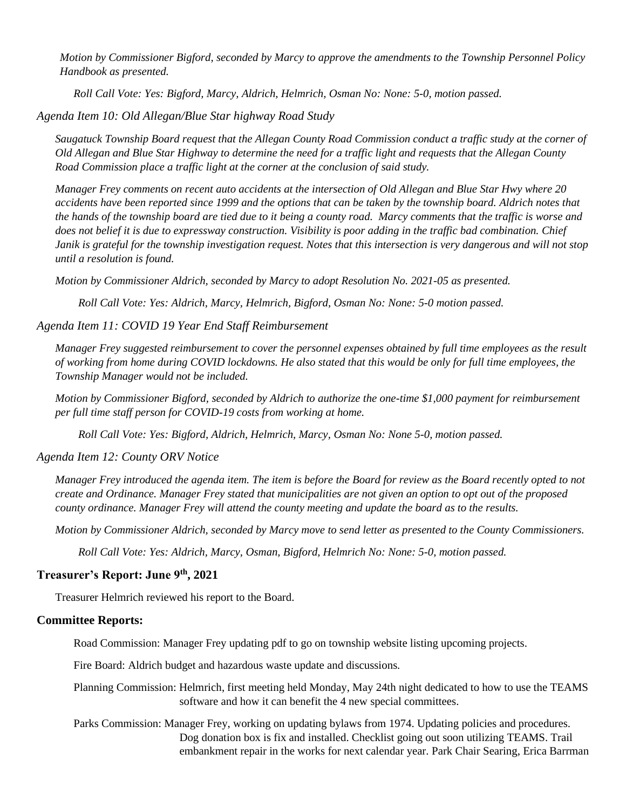*Motion by Commissioner Bigford, seconded by Marcy to approve the amendments to the Township Personnel Policy Handbook as presented.*

*Roll Call Vote: Yes: Bigford, Marcy, Aldrich, Helmrich, Osman No: None: 5-0, motion passed.*

*Agenda Item 10: Old Allegan/Blue Star highway Road Study*

*Saugatuck Township Board request that the Allegan County Road Commission conduct a traffic study at the corner of Old Allegan and Blue Star Highway to determine the need for a traffic light and requests that the Allegan County Road Commission place a traffic light at the corner at the conclusion of said study.* 

*Manager Frey comments on recent auto accidents at the intersection of Old Allegan and Blue Star Hwy where 20 accidents have been reported since 1999 and the options that can be taken by the township board. Aldrich notes that the hands of the township board are tied due to it being a county road. Marcy comments that the traffic is worse and does not belief it is due to expressway construction. Visibility is poor adding in the traffic bad combination. Chief Janik is grateful for the township investigation request. Notes that this intersection is very dangerous and will not stop until a resolution is found.*

*Motion by Commissioner Aldrich, seconded by Marcy to adopt Resolution No. 2021-05 as presented.*

*Roll Call Vote: Yes: Aldrich, Marcy, Helmrich, Bigford, Osman No: None: 5-0 motion passed.*

## *Agenda Item 11: COVID 19 Year End Staff Reimbursement*

*Manager Frey suggested reimbursement to cover the personnel expenses obtained by full time employees as the result of working from home during COVID lockdowns. He also stated that this would be only for full time employees, the Township Manager would not be included.*

*Motion by Commissioner Bigford, seconded by Aldrich to authorize the one-time \$1,000 payment for reimbursement per full time staff person for COVID-19 costs from working at home.*

*Roll Call Vote: Yes: Bigford, Aldrich, Helmrich, Marcy, Osman No: None 5-0, motion passed.*

### *Agenda Item 12: County ORV Notice*

*Manager Frey introduced the agenda item. The item is before the Board for review as the Board recently opted to not create and Ordinance. Manager Frey stated that municipalities are not given an option to opt out of the proposed county ordinance. Manager Frey will attend the county meeting and update the board as to the results.*

*Motion by Commissioner Aldrich, seconded by Marcy move to send letter as presented to the County Commissioners.*

*Roll Call Vote: Yes: Aldrich, Marcy, Osman, Bigford, Helmrich No: None: 5-0, motion passed.*

### **Treasurer's Report: June 9th, 2021**

Treasurer Helmrich reviewed his report to the Board.

### **Committee Reports:**

Road Commission: Manager Frey updating pdf to go on township website listing upcoming projects.

Fire Board: Aldrich budget and hazardous waste update and discussions.

Planning Commission: Helmrich, first meeting held Monday, May 24th night dedicated to how to use the TEAMS software and how it can benefit the 4 new special committees.

Parks Commission: Manager Frey, working on updating bylaws from 1974. Updating policies and procedures. Dog donation box is fix and installed. Checklist going out soon utilizing TEAMS. Trail embankment repair in the works for next calendar year. Park Chair Searing, Erica Barrman